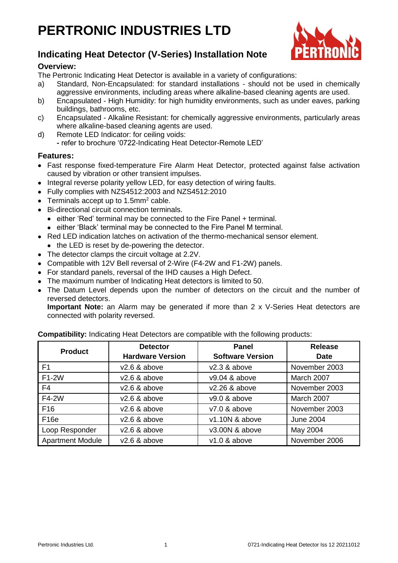# **PERTRONIC INDUSTRIES LTD**



# **Indicating Heat Detector (V-Series) Installation Note**

# **Overview:**

The Pertronic Indicating Heat Detector is available in a variety of configurations:

- a) Standard, Non-Encapsulated: for standard installations should not be used in chemically aggressive environments, including areas where alkaline-based cleaning agents are used.
- b) Encapsulated High Humidity: for high humidity environments, such as under eaves, parking buildings, bathrooms, etc.
- c) Encapsulated Alkaline Resistant: for chemically aggressive environments, particularly areas where alkaline-based cleaning agents are used.
- d) Remote LED Indicator: for ceiling voids:
	- **-** refer to brochure '0722-Indicating Heat Detector-Remote LED'

# **Features:**

- Fast response fixed-temperature Fire Alarm Heat Detector, protected against false activation caused by vibration or other transient impulses.
- Integral reverse polarity yellow LED, for easy detection of wiring faults.
- Fully complies with NZS4512:2003 and NZS4512:2010
- $\bullet$  Terminals accept up to 1.5mm<sup>2</sup> cable.
- Bi-directional circuit connection terminals.
	- either 'Red' terminal may be connected to the Fire Panel + terminal.
	- either 'Black' terminal may be connected to the Fire Panel M terminal.
- Red LED indication latches on activation of the thermo-mechanical sensor element.
- the LED is reset by de-powering the detector.
- The detector clamps the circuit voltage at 2.2V.
- Compatible with 12V Bell reversal of 2-Wire (F4-2W and F1-2W) panels.
- For standard panels, reversal of the IHD causes a High Defect.
- The maximum number of Indicating Heat detectors is limited to 50.
- The Datum Level depends upon the number of detectors on the circuit and the number of reversed detectors.

**Important Note:** an Alarm may be generated if more than 2 x V-Series Heat detectors are connected with polarity reversed.

| <b>Product</b>          | <b>Detector</b>         | <b>Panel</b>            | <b>Release</b>   |
|-------------------------|-------------------------|-------------------------|------------------|
|                         | <b>Hardware Version</b> | <b>Software Version</b> | <b>Date</b>      |
| F <sub>1</sub>          | $v2.6$ & above          | $v2.3$ & above          | November 2003    |
| F1-2W                   | $v2.6$ & above          | $v9.04$ & above         | March 2007       |
| F4                      | $v2.6$ & above          | $v2.26$ & above         | November 2003    |
| F4-2W                   | $v2.6$ & above          | v9.0 & above            | March 2007       |
| F <sub>16</sub>         | $v2.6$ & above          | $v7.0$ & above          | November 2003    |
| F <sub>16e</sub>        | $v2.6$ & above          | v1.10N & above          | <b>June 2004</b> |
| Loop Responder          | $v2.6$ & above          | v3.00N & above          | May 2004         |
| <b>Apartment Module</b> | $v2.6$ & above          | $v1.0$ & above          | November 2006    |

**Compatibility:** Indicating Heat Detectors are compatible with the following products: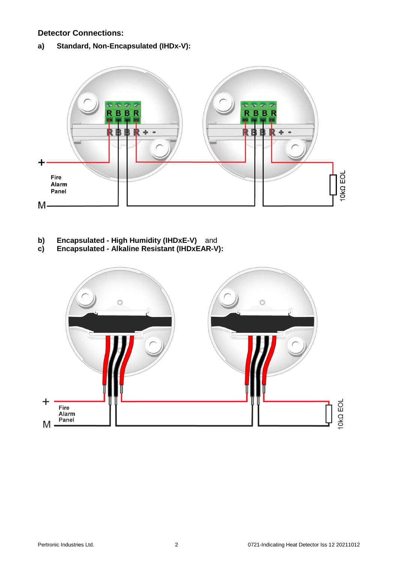### **Detector Connections:**

**a) Standard, Non-Encapsulated (IHDx-V):**



- **b) Encapsulated - High Humidity (IHDxE-V)** and
- **c) Encapsulated - Alkaline Resistant (IHDxEAR-V):**

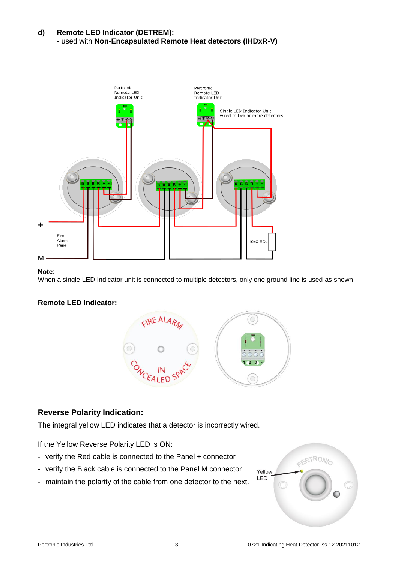### **d) Remote LED Indicator (DETREM): -** used with **Non-Encapsulated Remote Heat detectors (IHDxR-V)**



#### **Note**:

When a single LED Indicator unit is connected to multiple detectors, only one ground line is used as shown.

# **Remote LED Indicator:**



# **Reverse Polarity Indication:**

The integral yellow LED indicates that a detector is incorrectly wired.

If the Yellow Reverse Polarity LED is ON:

- verify the Red cable is connected to the Panel + connector
- verify the Black cable is connected to the Panel M connector
- maintain the polarity of the cable from one detector to the next.